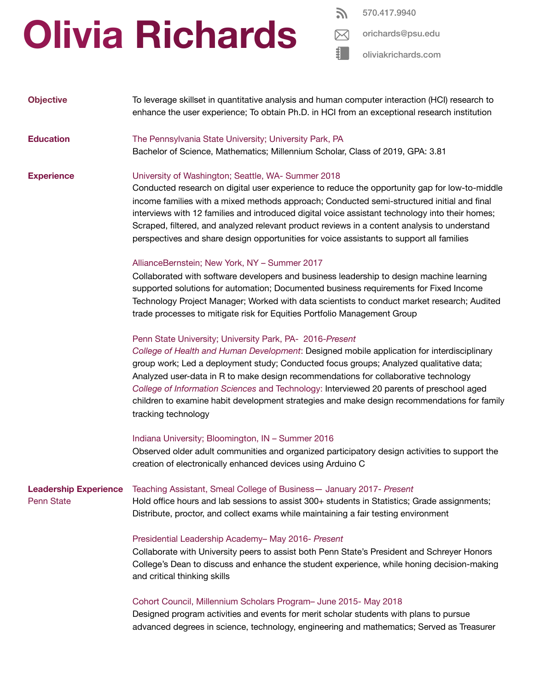## **Olivia Richards**

570.417.9940

[oliviakrichards.com](https://livkrichards.wixsite.com/mysite)

| <b>Objective</b>                                  | To leverage skillset in quantitative analysis and human computer interaction (HCI) research to<br>enhance the user experience; To obtain Ph.D. in HCI from an exceptional research institution                                                                                                                                                                                                                                                                                                                                                            |
|---------------------------------------------------|-----------------------------------------------------------------------------------------------------------------------------------------------------------------------------------------------------------------------------------------------------------------------------------------------------------------------------------------------------------------------------------------------------------------------------------------------------------------------------------------------------------------------------------------------------------|
| <b>Education</b>                                  | The Pennsylvania State University; University Park, PA<br>Bachelor of Science, Mathematics; Millennium Scholar, Class of 2019, GPA: 3.81                                                                                                                                                                                                                                                                                                                                                                                                                  |
| <b>Experience</b>                                 | University of Washington; Seattle, WA- Summer 2018<br>Conducted research on digital user experience to reduce the opportunity gap for low-to-middle<br>income families with a mixed methods approach; Conducted semi-structured initial and final<br>interviews with 12 families and introduced digital voice assistant technology into their homes;<br>Scraped, filtered, and analyzed relevant product reviews in a content analysis to understand<br>perspectives and share design opportunities for voice assistants to support all families          |
|                                                   | AllianceBernstein; New York, NY - Summer 2017<br>Collaborated with software developers and business leadership to design machine learning<br>supported solutions for automation; Documented business requirements for Fixed Income<br>Technology Project Manager; Worked with data scientists to conduct market research; Audited<br>trade processes to mitigate risk for Equities Portfolio Management Group                                                                                                                                             |
|                                                   | Penn State University; University Park, PA- 2016-Present<br>College of Health and Human Development: Designed mobile application for interdisciplinary<br>group work; Led a deployment study; Conducted focus groups; Analyzed qualitative data;<br>Analyzed user-data in R to make design recommendations for collaborative technology<br>College of Information Sciences and Technology: Interviewed 20 parents of preschool aged<br>children to examine habit development strategies and make design recommendations for family<br>tracking technology |
|                                                   | Indiana University; Bloomington, IN - Summer 2016<br>Observed older adult communities and organized participatory design activities to support the<br>creation of electronically enhanced devices using Arduino C                                                                                                                                                                                                                                                                                                                                         |
| <b>Leadership Experience</b><br><b>Penn State</b> | Teaching Assistant, Smeal College of Business - January 2017- Present<br>Hold office hours and lab sessions to assist 300+ students in Statistics; Grade assignments;<br>Distribute, proctor, and collect exams while maintaining a fair testing environment                                                                                                                                                                                                                                                                                              |
|                                                   | Presidential Leadership Academy- May 2016- Present<br>Collaborate with University peers to assist both Penn State's President and Schreyer Honors<br>College's Dean to discuss and enhance the student experience, while honing decision-making<br>and critical thinking skills                                                                                                                                                                                                                                                                           |
|                                                   | Cohort Council, Millennium Scholars Program- June 2015- May 2018<br>Designed program activities and events for merit scholar students with plans to pursue<br>advanced degrees in science, technology, engineering and mathematics; Served as Treasurer                                                                                                                                                                                                                                                                                                   |